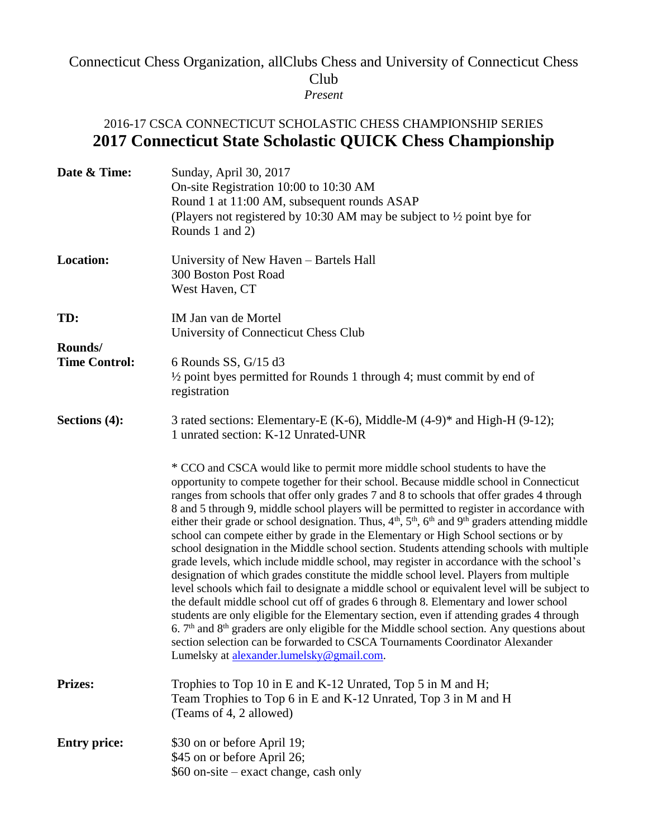## Connecticut Chess Organization, allClubs Chess and University of Connecticut Chess Club *Present*

## 2016-17 CSCA CONNECTICUT SCHOLASTIC CHESS CHAMPIONSHIP SERIES **2017 Connecticut State Scholastic QUICK Chess Championship**

| Date & Time:         | Sunday, April 30, 2017<br>On-site Registration 10:00 to 10:30 AM<br>Round 1 at 11:00 AM, subsequent rounds ASAP<br>(Players not registered by 10:30 AM may be subject to $\frac{1}{2}$ point bye for<br>Rounds 1 and 2)                                                                                                                                                                                                                                                                                                                                                                                                                                                                                                                                                                                                                                                                                                                                                                                                                                                                                                                                                                                                                                                                                                                                                 |
|----------------------|-------------------------------------------------------------------------------------------------------------------------------------------------------------------------------------------------------------------------------------------------------------------------------------------------------------------------------------------------------------------------------------------------------------------------------------------------------------------------------------------------------------------------------------------------------------------------------------------------------------------------------------------------------------------------------------------------------------------------------------------------------------------------------------------------------------------------------------------------------------------------------------------------------------------------------------------------------------------------------------------------------------------------------------------------------------------------------------------------------------------------------------------------------------------------------------------------------------------------------------------------------------------------------------------------------------------------------------------------------------------------|
| <b>Location:</b>     | University of New Haven - Bartels Hall<br>300 Boston Post Road<br>West Haven, CT                                                                                                                                                                                                                                                                                                                                                                                                                                                                                                                                                                                                                                                                                                                                                                                                                                                                                                                                                                                                                                                                                                                                                                                                                                                                                        |
| TD:<br>Rounds/       | IM Jan van de Mortel<br>University of Connecticut Chess Club                                                                                                                                                                                                                                                                                                                                                                                                                                                                                                                                                                                                                                                                                                                                                                                                                                                                                                                                                                                                                                                                                                                                                                                                                                                                                                            |
| <b>Time Control:</b> | 6 Rounds SS, $G/15$ d3<br>$\frac{1}{2}$ point byes permitted for Rounds 1 through 4; must commit by end of<br>registration                                                                                                                                                                                                                                                                                                                                                                                                                                                                                                                                                                                                                                                                                                                                                                                                                                                                                                                                                                                                                                                                                                                                                                                                                                              |
| Sections (4):        | 3 rated sections: Elementary-E (K-6), Middle-M $(4-9)^*$ and High-H $(9-12)$ ;<br>1 unrated section: K-12 Unrated-UNR                                                                                                                                                                                                                                                                                                                                                                                                                                                                                                                                                                                                                                                                                                                                                                                                                                                                                                                                                                                                                                                                                                                                                                                                                                                   |
|                      | * CCO and CSCA would like to permit more middle school students to have the<br>opportunity to compete together for their school. Because middle school in Connecticut<br>ranges from schools that offer only grades 7 and 8 to schools that offer grades 4 through<br>8 and 5 through 9, middle school players will be permitted to register in accordance with<br>either their grade or school designation. Thus, $4th$ , $5th$ , $6th$ and $9th$ graders attending middle<br>school can compete either by grade in the Elementary or High School sections or by<br>school designation in the Middle school section. Students attending schools with multiple<br>grade levels, which include middle school, may register in accordance with the school's<br>designation of which grades constitute the middle school level. Players from multiple<br>level schools which fail to designate a middle school or equivalent level will be subject to<br>the default middle school cut off of grades 6 through 8. Elementary and lower school<br>students are only eligible for the Elementary section, even if attending grades 4 through<br>6. $7th$ and $8th$ graders are only eligible for the Middle school section. Any questions about<br>section selection can be forwarded to CSCA Tournaments Coordinator Alexander<br>Lumelsky at alexander.lumelsky@gmail.com. |
| <b>Prizes:</b>       | Trophies to Top 10 in E and K-12 Unrated, Top 5 in M and H;<br>Team Trophies to Top 6 in E and K-12 Unrated, Top 3 in M and H<br>(Teams of 4, 2 allowed)                                                                                                                                                                                                                                                                                                                                                                                                                                                                                                                                                                                                                                                                                                                                                                                                                                                                                                                                                                                                                                                                                                                                                                                                                |
| <b>Entry price:</b>  | \$30 on or before April 19;<br>\$45 on or before April 26;<br>\$60 on-site - exact change, cash only                                                                                                                                                                                                                                                                                                                                                                                                                                                                                                                                                                                                                                                                                                                                                                                                                                                                                                                                                                                                                                                                                                                                                                                                                                                                    |